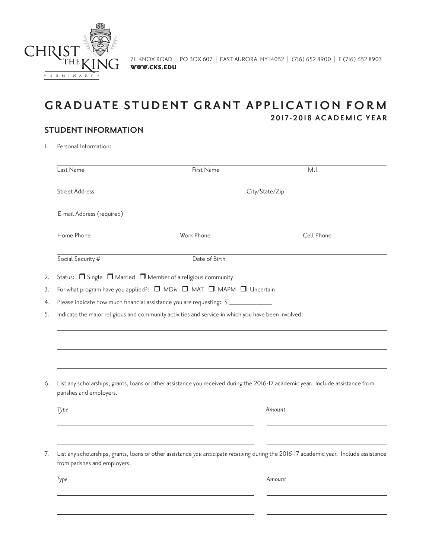

# **GRADUATE STUDENT GRANT APPLICATION FORM 2017-2018 ACADEMIC YEAR**

## **STUDENT INFORMATION**

1. Personal Information:

|                                                                                         | City/State/Zip                                                                                                                         |  |
|-----------------------------------------------------------------------------------------|----------------------------------------------------------------------------------------------------------------------------------------|--|
|                                                                                         |                                                                                                                                        |  |
| Work Phone                                                                              | Cell Phone                                                                                                                             |  |
| Date of Birth                                                                           |                                                                                                                                        |  |
| Status: $\Box$ Single $\Box$ Married $\Box$ Member of a religious community             |                                                                                                                                        |  |
| For what program have you applied?: $\Box$ MDiv $\Box$ MAT $\Box$ MAPM $\Box$ Uncertain |                                                                                                                                        |  |
| Please indicate how much financial assistance you are requesting: $\frac{1}{2}$         |                                                                                                                                        |  |
|                                                                                         |                                                                                                                                        |  |
|                                                                                         | List any scholarships, grants, loans or other assistance you received during the 2016-17 academic year. Include assistance from        |  |
|                                                                                         | Amount                                                                                                                                 |  |
|                                                                                         |                                                                                                                                        |  |
|                                                                                         | List any scholarships, grants, loans or other assistance you anticipate receiving during the 2016-17 academic year. Include assistance |  |
|                                                                                         | Indicate the major religious and community activities and service in which you have been involved:                                     |  |